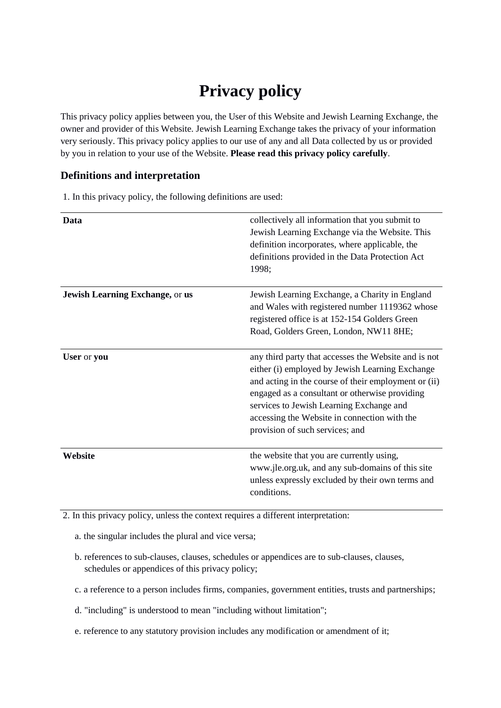# **Privacy policy**

This privacy policy applies between you, the User of this Website and Jewish Learning Exchange, the owner and provider of this Website. Jewish Learning Exchange takes the privacy of your information very seriously. This privacy policy applies to our use of any and all Data collected by us or provided by you in relation to your use of the Website. **Please read this privacy policy carefully**.

## **Definitions and interpretation**

1. In this privacy policy, the following definitions are used:

| Data                            | collectively all information that you submit to<br>Jewish Learning Exchange via the Website. This<br>definition incorporates, where applicable, the<br>definitions provided in the Data Protection Act<br>1998;                                                                                                                                  |
|---------------------------------|--------------------------------------------------------------------------------------------------------------------------------------------------------------------------------------------------------------------------------------------------------------------------------------------------------------------------------------------------|
| Jewish Learning Exchange, or us | Jewish Learning Exchange, a Charity in England<br>and Wales with registered number 1119362 whose<br>registered office is at 152-154 Golders Green<br>Road, Golders Green, London, NW11 8HE;                                                                                                                                                      |
| User or you                     | any third party that accesses the Website and is not<br>either (i) employed by Jewish Learning Exchange<br>and acting in the course of their employment or (ii)<br>engaged as a consultant or otherwise providing<br>services to Jewish Learning Exchange and<br>accessing the Website in connection with the<br>provision of such services; and |
| Website                         | the website that you are currently using,<br>www.jle.org.uk, and any sub-domains of this site<br>unless expressly excluded by their own terms and<br>conditions.                                                                                                                                                                                 |

2. In this privacy policy, unless the context requires a different interpretation:

a. the singular includes the plural and vice versa;

- b. references to sub-clauses, clauses, schedules or appendices are to sub-clauses, clauses, schedules or appendices of this privacy policy;
- c. a reference to a person includes firms, companies, government entities, trusts and partnerships;
- d. "including" is understood to mean "including without limitation";
- e. reference to any statutory provision includes any modification or amendment of it;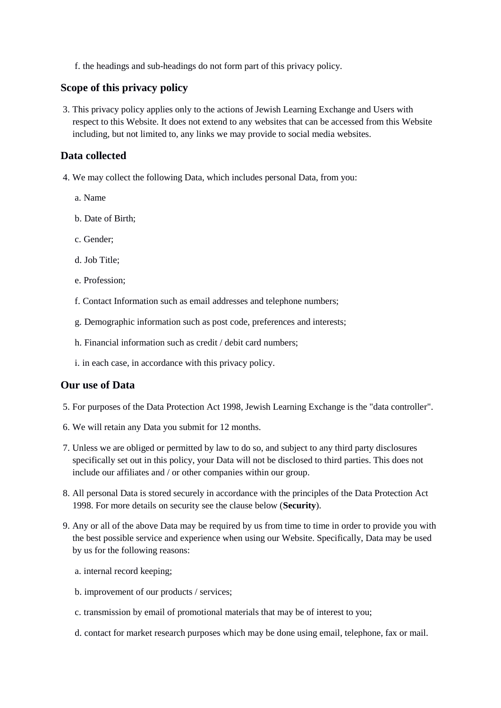f. the headings and sub-headings do not form part of this privacy policy.

# **Scope of this privacy policy**

3. This privacy policy applies only to the actions of Jewish Learning Exchange and Users with respect to this Website. It does not extend to any websites that can be accessed from this Website including, but not limited to, any links we may provide to social media websites.

### **Data collected**

- 4. We may collect the following Data, which includes personal Data, from you:
	- a. Name
	- b. Date of Birth;
	- c. Gender;
	- d. Job Title;
	- e. Profession;
	- f. Contact Information such as email addresses and telephone numbers;
	- g. Demographic information such as post code, preferences and interests;
	- h. Financial information such as credit / debit card numbers;
	- i. in each case, in accordance with this privacy policy.

# **Our use of Data**

- 5. For purposes of the Data Protection Act 1998, Jewish Learning Exchange is the "data controller".
- 6. We will retain any Data you submit for 12 months.
- 7. Unless we are obliged or permitted by law to do so, and subject to any third party disclosures specifically set out in this policy, your Data will not be disclosed to third parties. This does not include our affiliates and / or other companies within our group.
- 8. All personal Data is stored securely in accordance with the principles of the Data Protection Act 1998. For more details on security see the clause below (**Security**).
- 9. Any or all of the above Data may be required by us from time to time in order to provide you with the best possible service and experience when using our Website. Specifically, Data may be used by us for the following reasons:
	- a. internal record keeping;
	- b. improvement of our products / services;
	- c. transmission by email of promotional materials that may be of interest to you;
	- d. contact for market research purposes which may be done using email, telephone, fax or mail.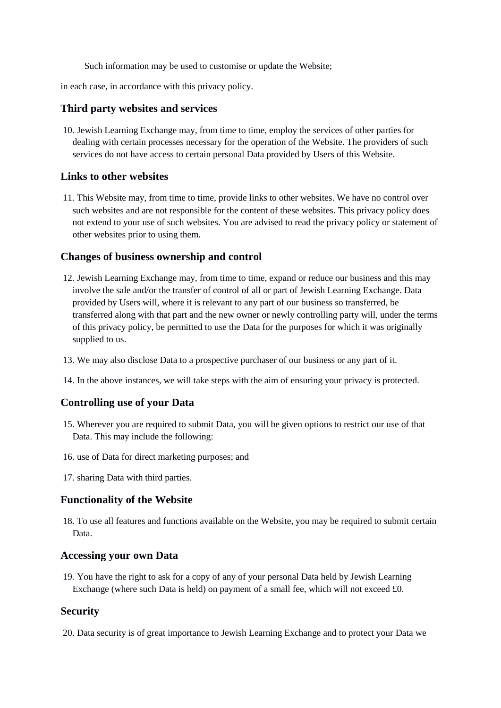Such information may be used to customise or update the Website;

in each case, in accordance with this privacy policy.

#### **Third party websites and services**

10. Jewish Learning Exchange may, from time to time, employ the services of other parties for dealing with certain processes necessary for the operation of the Website. The providers of such services do not have access to certain personal Data provided by Users of this Website.

## **Links to other websites**

11. This Website may, from time to time, provide links to other websites. We have no control over such websites and are not responsible for the content of these websites. This privacy policy does not extend to your use of such websites. You are advised to read the privacy policy or statement of other websites prior to using them.

#### **Changes of business ownership and control**

- 12. Jewish Learning Exchange may, from time to time, expand or reduce our business and this may involve the sale and/or the transfer of control of all or part of Jewish Learning Exchange. Data provided by Users will, where it is relevant to any part of our business so transferred, be transferred along with that part and the new owner or newly controlling party will, under the terms of this privacy policy, be permitted to use the Data for the purposes for which it was originally supplied to us.
- 13. We may also disclose Data to a prospective purchaser of our business or any part of it.
- 14. In the above instances, we will take steps with the aim of ensuring your privacy is protected.

## **Controlling use of your Data**

- 15. Wherever you are required to submit Data, you will be given options to restrict our use of that Data. This may include the following:
- 16. use of Data for direct marketing purposes; and
- 17. sharing Data with third parties.

#### **Functionality of the Website**

18. To use all features and functions available on the Website, you may be required to submit certain Data.

#### **Accessing your own Data**

19. You have the right to ask for a copy of any of your personal Data held by Jewish Learning Exchange (where such Data is held) on payment of a small fee, which will not exceed £0.

# **Security**

20. Data security is of great importance to Jewish Learning Exchange and to protect your Data we